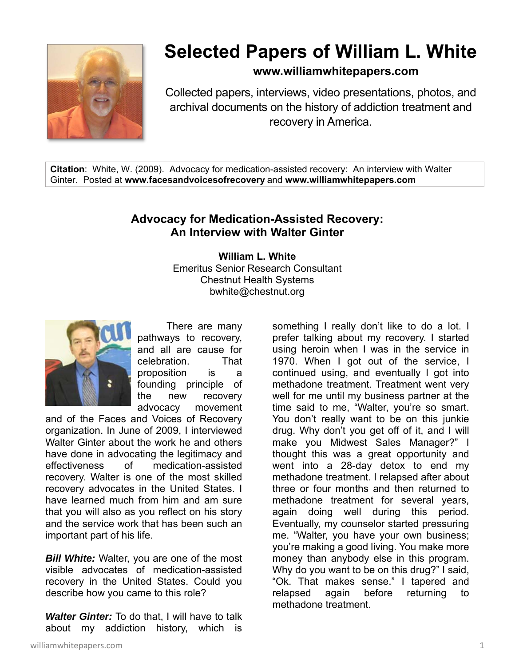

## **Selected Papers of William L. White**

**www.williamwhitepapers.com**

Collected papers, interviews, video presentations, photos, and archival documents on the history of addiction treatment and recovery in America.

**Citation**: White, W. (2009). Advocacy for medication-assisted recovery: An interview with Walter Ginter. Posted at **www.facesandvoicesofrecovery** and **www.williamwhitepapers.com** 

## **Advocacy for Medication-Assisted Recovery: An Interview with Walter Ginter**

**William L. White**  Emeritus Senior Research Consultant Chestnut Health Systems bwhite@chestnut.org



 There are many pathways to recovery, and all are cause for celebration. That proposition is a founding principle of the new recovery advocacy movement

and of the Faces and Voices of Recovery organization. In June of 2009, I interviewed Walter Ginter about the work he and others have done in advocating the legitimacy and effectiveness of medication-assisted recovery. Walter is one of the most skilled recovery advocates in the United States. I have learned much from him and am sure that you will also as you reflect on his story and the service work that has been such an important part of his life.

**Bill White:** Walter, you are one of the most visible advocates of medication-assisted recovery in the United States. Could you describe how you came to this role?

*Walter Ginter:* To do that, I will have to talk about my addiction history, which is

something I really don't like to do a lot. I prefer talking about my recovery. I started using heroin when I was in the service in 1970. When I got out of the service, I continued using, and eventually I got into methadone treatment. Treatment went very well for me until my business partner at the time said to me, "Walter, you're so smart. You don't really want to be on this junkie drug. Why don't you get off of it, and I will make you Midwest Sales Manager?" I thought this was a great opportunity and went into a 28-day detox to end my methadone treatment. I relapsed after about three or four months and then returned to methadone treatment for several years, again doing well during this period. Eventually, my counselor started pressuring me. "Walter, you have your own business; you're making a good living. You make more money than anybody else in this program. Why do you want to be on this drug?" I said, "Ok. That makes sense." I tapered and relapsed again before returning to methadone treatment.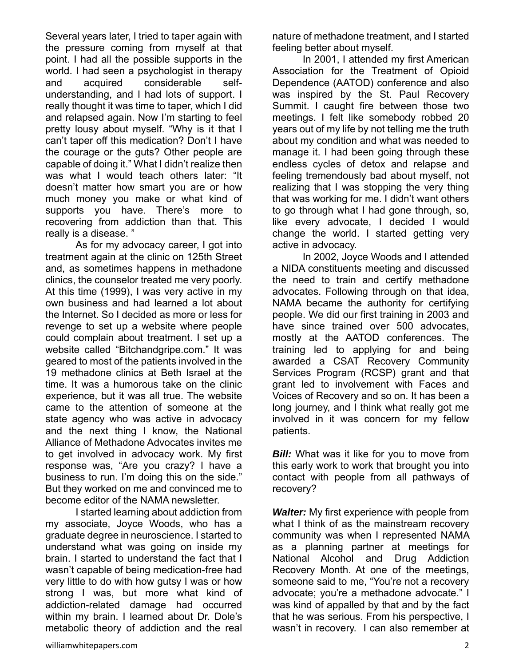Several years later, I tried to taper again with the pressure coming from myself at that point. I had all the possible supports in the world. I had seen a psychologist in therapy and acquired considerable selfunderstanding, and I had lots of support. I really thought it was time to taper, which I did and relapsed again. Now I'm starting to feel pretty lousy about myself. "Why is it that I can't taper off this medication? Don't I have the courage or the guts? Other people are capable of doing it." What I didn't realize then was what I would teach others later: "It doesn't matter how smart you are or how much money you make or what kind of supports you have. There's more to recovering from addiction than that. This really is a disease. "

 As for my advocacy career, I got into treatment again at the clinic on 125th Street and, as sometimes happens in methadone clinics, the counselor treated me very poorly. At this time (1999), I was very active in my own business and had learned a lot about the Internet. So I decided as more or less for revenge to set up a website where people could complain about treatment. I set up a website called "Bitchandgripe.com." It was geared to most of the patients involved in the 19 methadone clinics at Beth Israel at the time. It was a humorous take on the clinic experience, but it was all true. The website came to the attention of someone at the state agency who was active in advocacy and the next thing I know, the National Alliance of Methadone Advocates invites me to get involved in advocacy work. My first response was, "Are you crazy? I have a business to run. I'm doing this on the side." But they worked on me and convinced me to become editor of the NAMA newsletter.

 I started learning about addiction from my associate, Joyce Woods, who has a graduate degree in neuroscience. I started to understand what was going on inside my brain. I started to understand the fact that I wasn't capable of being medication-free had very little to do with how gutsy I was or how strong I was, but more what kind of addiction-related damage had occurred within my brain. I learned about Dr. Dole's metabolic theory of addiction and the real

nature of methadone treatment, and I started feeling better about myself.

 In 2001, I attended my first American Association for the Treatment of Opioid Dependence (AATOD) conference and also was inspired by the St. Paul Recovery Summit. I caught fire between those two meetings. I felt like somebody robbed 20 years out of my life by not telling me the truth about my condition and what was needed to manage it. I had been going through these endless cycles of detox and relapse and feeling tremendously bad about myself, not realizing that I was stopping the very thing that was working for me. I didn't want others to go through what I had gone through, so, like every advocate, I decided I would change the world. I started getting very active in advocacy.

 In 2002, Joyce Woods and I attended a NIDA constituents meeting and discussed the need to train and certify methadone advocates. Following through on that idea, NAMA became the authority for certifying people. We did our first training in 2003 and have since trained over 500 advocates, mostly at the AATOD conferences. The training led to applying for and being awarded a CSAT Recovery Community Services Program (RCSP) grant and that grant led to involvement with Faces and Voices of Recovery and so on. It has been a long journey, and I think what really got me involved in it was concern for my fellow patients.

*Bill:* What was it like for you to move from this early work to work that brought you into contact with people from all pathways of recovery?

*Walter:* My first experience with people from what I think of as the mainstream recovery community was when I represented NAMA as a planning partner at meetings for National Alcohol and Drug Addiction Recovery Month. At one of the meetings, someone said to me, "You're not a recovery advocate; you're a methadone advocate." I was kind of appalled by that and by the fact that he was serious. From his perspective, I wasn't in recovery. I can also remember at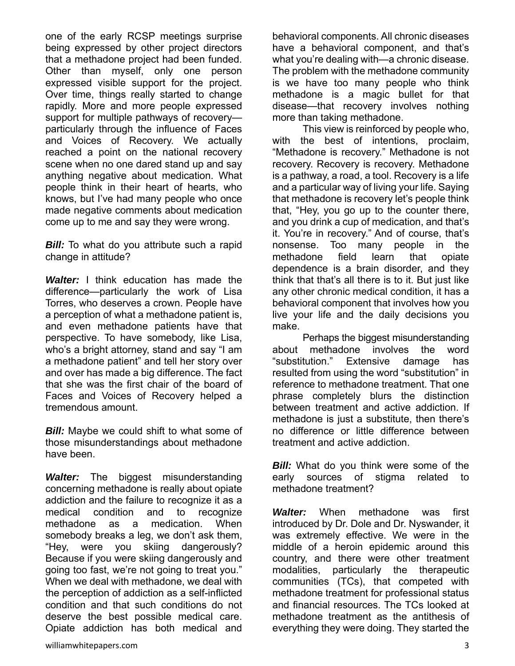one of the early RCSP meetings surprise being expressed by other project directors that a methadone project had been funded. Other than myself, only one person expressed visible support for the project. Over time, things really started to change rapidly. More and more people expressed support for multiple pathways of recovery particularly through the influence of Faces and Voices of Recovery. We actually reached a point on the national recovery scene when no one dared stand up and say anything negative about medication. What people think in their heart of hearts, who knows, but I've had many people who once made negative comments about medication come up to me and say they were wrong.

**Bill:** To what do you attribute such a rapid change in attitude?

*Walter:* I think education has made the difference—particularly the work of Lisa Torres, who deserves a crown. People have a perception of what a methadone patient is, and even methadone patients have that perspective. To have somebody, like Lisa, who's a bright attorney, stand and say "I am a methadone patient" and tell her story over and over has made a big difference. The fact that she was the first chair of the board of Faces and Voices of Recovery helped a tremendous amount.

**Bill:** Maybe we could shift to what some of those misunderstandings about methadone have been.

*Walter:* The biggest misunderstanding concerning methadone is really about opiate addiction and the failure to recognize it as a medical condition and to recognize methadone as a medication. When somebody breaks a leg, we don't ask them, "Hey, were you skiing dangerously? Because if you were skiing dangerously and going too fast, we're not going to treat you." When we deal with methadone, we deal with the perception of addiction as a self-inflicted condition and that such conditions do not deserve the best possible medical care. Opiate addiction has both medical and

 This view is reinforced by people who, with the best of intentions, proclaim, "Methadone is recovery." Methadone is not recovery. Recovery is recovery. Methadone is a pathway, a road, a tool. Recovery is a life and a particular way of living your life. Saying that methadone is recovery let's people think that, "Hey, you go up to the counter there, and you drink a cup of medication, and that's it. You're in recovery." And of course, that's nonsense. Too many people in the methadone field learn that opiate dependence is a brain disorder, and they think that that's all there is to it. But just like any other chronic medical condition, it has a behavioral component that involves how you live your life and the daily decisions you make.

 Perhaps the biggest misunderstanding about methadone involves the word "substitution." Extensive damage has resulted from using the word "substitution" in reference to methadone treatment. That one phrase completely blurs the distinction between treatment and active addiction. If methadone is just a substitute, then there's no difference or little difference between treatment and active addiction.

*Bill:* What do you think were some of the early sources of stigma related to methadone treatment?

*Walter:* When methadone was first introduced by Dr. Dole and Dr. Nyswander, it was extremely effective. We were in the middle of a heroin epidemic around this country, and there were other treatment modalities, particularly the therapeutic communities (TCs), that competed with methadone treatment for professional status and financial resources. The TCs looked at methadone treatment as the antithesis of everything they were doing. They started the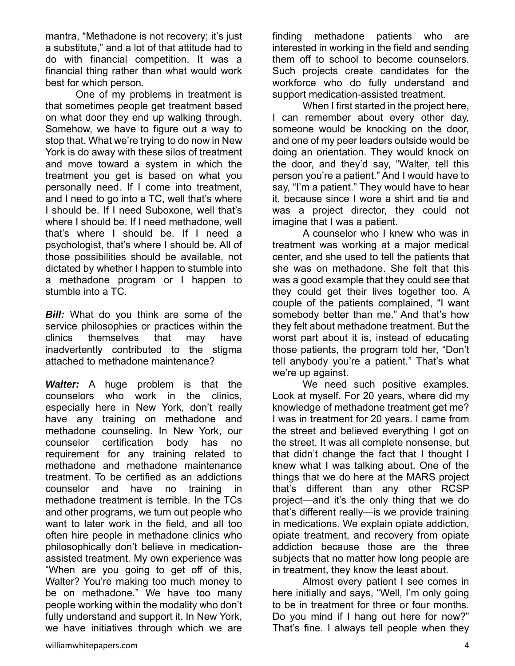mantra, "Methadone is not recovery; it's just a substitute," and a lot of that attitude had to do with financial competition. It was a financial thing rather than what would work best for which person.

 One of my problems in treatment is that sometimes people get treatment based on what door they end up walking through. Somehow, we have to figure out a way to stop that. What we're trying to do now in New York is do away with these silos of treatment and move toward a system in which the treatment you get is based on what you personally need. If I come into treatment, and I need to go into a TC, well that's where I should be. If I need Suboxone, well that's where I should be. If I need methadone, well that's where I should be. If I need a psychologist, that's where I should be. All of those possibilities should be available, not dictated by whether I happen to stumble into a methadone program or I happen to stumble into a TC.

*Bill:* What do you think are some of the service philosophies or practices within the clinics themselves that may have inadvertently contributed to the stigma attached to methadone maintenance?

*Walter:* A huge problem is that the counselors who work in the clinics, especially here in New York, don't really have any training on methadone and methadone counseling. In New York, our counselor certification body has no requirement for any training related to methadone and methadone maintenance treatment. To be certified as an addictions counselor and have no training in methadone treatment is terrible. In the TCs and other programs, we turn out people who want to later work in the field, and all too often hire people in methadone clinics who philosophically don't believe in medicationassisted treatment. My own experience was "When are you going to get off of this, Walter? You're making too much money to be on methadone." We have too many people working within the modality who don't fully understand and support it. In New York, we have initiatives through which we are

finding methadone patients who are interested in working in the field and sending them off to school to become counselors. Such projects create candidates for the workforce who do fully understand and support medication-assisted treatment.

 When I first started in the project here, I can remember about every other day, someone would be knocking on the door, and one of my peer leaders outside would be doing an orientation. They would knock on the door, and they'd say, "Walter, tell this person you're a patient." And I would have to say, "I'm a patient." They would have to hear it, because since I wore a shirt and tie and was a project director, they could not imagine that I was a patient.

 A counselor who I knew who was in treatment was working at a major medical center, and she used to tell the patients that she was on methadone. She felt that this was a good example that they could see that they could get their lives together too. A couple of the patients complained, "I want somebody better than me." And that's how they felt about methadone treatment. But the worst part about it is, instead of educating those patients, the program told her, "Don't tell anybody you're a patient." That's what we're up against.

We need such positive examples. Look at myself. For 20 years, where did my knowledge of methadone treatment get me? I was in treatment for 20 years. I came from the street and believed everything I got on the street. It was all complete nonsense, but that didn't change the fact that I thought I knew what I was talking about. One of the things that we do here at the MARS project that's different than any other RCSP project—and it's the only thing that we do that's different really—is we provide training in medications. We explain opiate addiction, opiate treatment, and recovery from opiate addiction because those are the three subjects that no matter how long people are in treatment, they know the least about.

 Almost every patient I see comes in here initially and says, "Well, I'm only going to be in treatment for three or four months. Do you mind if I hang out here for now?" That's fine. I always tell people when they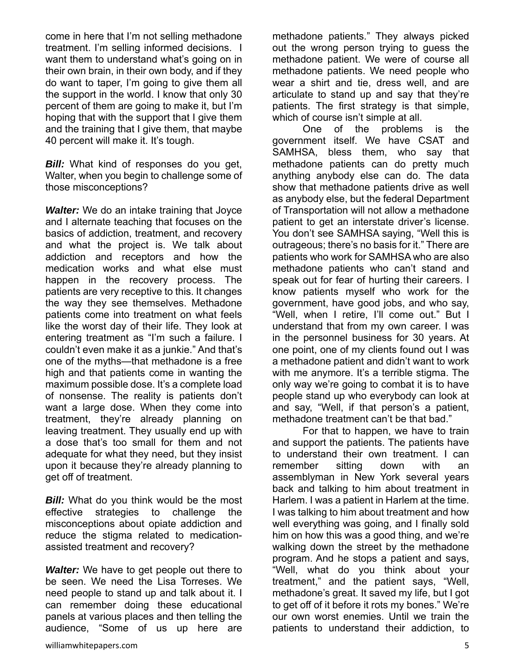come in here that I'm not selling methadone treatment. I'm selling informed decisions. I want them to understand what's going on in their own brain, in their own body, and if they do want to taper, I'm going to give them all the support in the world. I know that only 30 percent of them are going to make it, but I'm hoping that with the support that I give them and the training that I give them, that maybe 40 percent will make it. It's tough.

**Bill:** What kind of responses do you get, Walter, when you begin to challenge some of those misconceptions?

*Walter:* We do an intake training that Joyce and I alternate teaching that focuses on the basics of addiction, treatment, and recovery and what the project is. We talk about addiction and receptors and how the medication works and what else must happen in the recovery process. The patients are very receptive to this. It changes the way they see themselves. Methadone patients come into treatment on what feels like the worst day of their life. They look at entering treatment as "I'm such a failure. I couldn't even make it as a junkie." And that's one of the myths—that methadone is a free high and that patients come in wanting the maximum possible dose. It's a complete load of nonsense. The reality is patients don't want a large dose. When they come into treatment, they're already planning on leaving treatment. They usually end up with a dose that's too small for them and not adequate for what they need, but they insist upon it because they're already planning to get off of treatment.

**Bill:** What do you think would be the most effective strategies to challenge the misconceptions about opiate addiction and reduce the stigma related to medicationassisted treatment and recovery?

*Walter:* We have to get people out there to be seen. We need the Lisa Torreses. We need people to stand up and talk about it. I can remember doing these educational panels at various places and then telling the audience, "Some of us up here are

methadone patients." They always picked out the wrong person trying to guess the methadone patient. We were of course all methadone patients. We need people who wear a shirt and tie, dress well, and are articulate to stand up and say that they're patients. The first strategy is that simple, which of course isn't simple at all.

 One of the problems is the government itself. We have CSAT and SAMHSA, bless them, who say that methadone patients can do pretty much anything anybody else can do. The data show that methadone patients drive as well as anybody else, but the federal Department of Transportation will not allow a methadone patient to get an interstate driver's license. You don't see SAMHSA saying, "Well this is outrageous; there's no basis for it." There are patients who work for SAMHSA who are also methadone patients who can't stand and speak out for fear of hurting their careers. I know patients myself who work for the government, have good jobs, and who say, "Well, when I retire, I'll come out." But I understand that from my own career. I was in the personnel business for 30 years. At one point, one of my clients found out I was a methadone patient and didn't want to work with me anymore. It's a terrible stigma. The only way we're going to combat it is to have people stand up who everybody can look at and say, "Well, if that person's a patient, methadone treatment can't be that bad."

 For that to happen, we have to train and support the patients. The patients have to understand their own treatment. I can remember sitting down with an assemblyman in New York several years back and talking to him about treatment in Harlem. I was a patient in Harlem at the time. I was talking to him about treatment and how well everything was going, and I finally sold him on how this was a good thing, and we're walking down the street by the methadone program. And he stops a patient and says, "Well, what do you think about your treatment," and the patient says, "Well, methadone's great. It saved my life, but I got to get off of it before it rots my bones." We're our own worst enemies. Until we train the patients to understand their addiction, to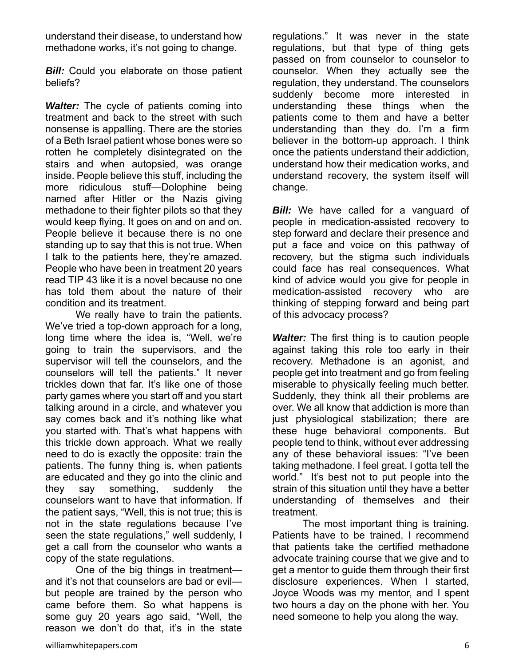understand their disease, to understand how methadone works, it's not going to change.

**Bill:** Could you elaborate on those patient beliefs?

*Walter:* The cycle of patients coming into treatment and back to the street with such nonsense is appalling. There are the stories of a Beth Israel patient whose bones were so rotten he completely disintegrated on the stairs and when autopsied, was orange inside. People believe this stuff, including the more ridiculous stuff—Dolophine being named after Hitler or the Nazis giving methadone to their fighter pilots so that they would keep flying. It goes on and on and on. People believe it because there is no one standing up to say that this is not true. When I talk to the patients here, they're amazed. People who have been in treatment 20 years read TIP 43 like it is a novel because no one has told them about the nature of their condition and its treatment.

 We really have to train the patients. We've tried a top-down approach for a long, long time where the idea is, "Well, we're going to train the supervisors, and the supervisor will tell the counselors, and the counselors will tell the patients." It never trickles down that far. It's like one of those party games where you start off and you start talking around in a circle, and whatever you say comes back and it's nothing like what you started with. That's what happens with this trickle down approach. What we really need to do is exactly the opposite: train the patients. The funny thing is, when patients are educated and they go into the clinic and they say something, suddenly the counselors want to have that information. If the patient says, "Well, this is not true; this is not in the state regulations because I've seen the state regulations," well suddenly, I get a call from the counselor who wants a copy of the state regulations.

 One of the big things in treatment and it's not that counselors are bad or evil but people are trained by the person who came before them. So what happens is some guy 20 years ago said, "Well, the reason we don't do that, it's in the state

regulations." It was never in the state regulations, but that type of thing gets passed on from counselor to counselor to counselor. When they actually see the regulation, they understand. The counselors suddenly become more interested in understanding these things when the patients come to them and have a better understanding than they do. I'm a firm believer in the bottom-up approach. I think once the patients understand their addiction, understand how their medication works, and understand recovery, the system itself will change.

**Bill:** We have called for a vanguard of people in medication-assisted recovery to step forward and declare their presence and put a face and voice on this pathway of recovery, but the stigma such individuals could face has real consequences. What kind of advice would you give for people in medication-assisted recovery who are thinking of stepping forward and being part of this advocacy process?

*Walter:* The first thing is to caution people against taking this role too early in their recovery. Methadone is an agonist, and people get into treatment and go from feeling miserable to physically feeling much better. Suddenly, they think all their problems are over. We all know that addiction is more than just physiological stabilization; there are these huge behavioral components. But people tend to think, without ever addressing any of these behavioral issues: "I've been taking methadone. I feel great. I gotta tell the world." It's best not to put people into the strain of this situation until they have a better understanding of themselves and their treatment.

 The most important thing is training. Patients have to be trained. I recommend that patients take the certified methadone advocate training course that we give and to get a mentor to guide them through their first disclosure experiences. When I started, Joyce Woods was my mentor, and I spent two hours a day on the phone with her. You need someone to help you along the way.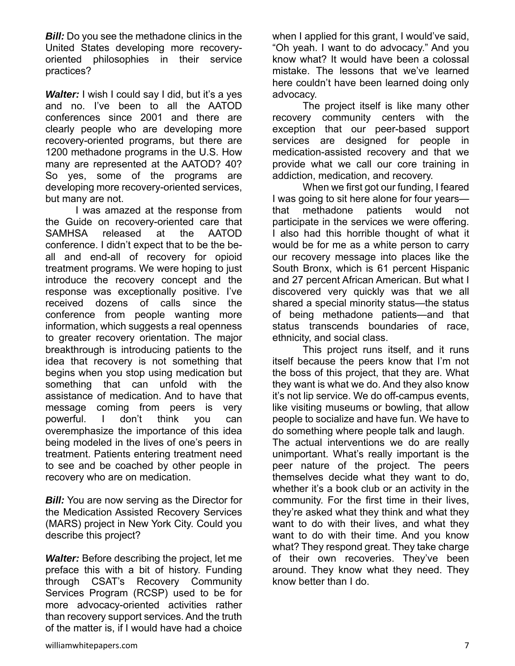*Bill:* Do you see the methadone clinics in the United States developing more recoveryoriented philosophies in their service practices?

*Walter:* I wish I could say I did, but it's a yes and no. I've been to all the AATOD conferences since 2001 and there are clearly people who are developing more recovery-oriented programs, but there are 1200 methadone programs in the U.S. How many are represented at the AATOD? 40? So yes, some of the programs are developing more recovery-oriented services, but many are not.

 I was amazed at the response from the Guide on recovery-oriented care that SAMHSA released at the AATOD conference. I didn't expect that to be the beall and end-all of recovery for opioid treatment programs. We were hoping to just introduce the recovery concept and the response was exceptionally positive. I've received dozens of calls since the conference from people wanting more information, which suggests a real openness to greater recovery orientation. The major breakthrough is introducing patients to the idea that recovery is not something that begins when you stop using medication but something that can unfold with the assistance of medication. And to have that message coming from peers is very powerful. I don't think you can overemphasize the importance of this idea being modeled in the lives of one's peers in treatment. Patients entering treatment need to see and be coached by other people in recovery who are on medication.

**Bill:** You are now serving as the Director for the Medication Assisted Recovery Services (MARS) project in New York City. Could you describe this project?

*Walter:* Before describing the project, let me preface this with a bit of history. Funding through CSAT's Recovery Community Services Program (RCSP) used to be for more advocacy-oriented activities rather than recovery support services. And the truth of the matter is, if I would have had a choice

when I applied for this grant, I would've said, "Oh yeah. I want to do advocacy." And you know what? It would have been a colossal mistake. The lessons that we've learned here couldn't have been learned doing only advocacy.

 The project itself is like many other recovery community centers with the exception that our peer-based support services are designed for people in medication-assisted recovery and that we provide what we call our core training in addiction, medication, and recovery.

 When we first got our funding, I feared I was going to sit here alone for four years that methadone patients would not participate in the services we were offering. I also had this horrible thought of what it would be for me as a white person to carry our recovery message into places like the South Bronx, which is 61 percent Hispanic and 27 percent African American. But what I discovered very quickly was that we all shared a special minority status—the status of being methadone patients—and that status transcends boundaries of race, ethnicity, and social class.

 This project runs itself, and it runs itself because the peers know that I'm not the boss of this project, that they are. What they want is what we do. And they also know it's not lip service. We do off-campus events, like visiting museums or bowling, that allow people to socialize and have fun. We have to do something where people talk and laugh. The actual interventions we do are really unimportant. What's really important is the peer nature of the project. The peers themselves decide what they want to do, whether it's a book club or an activity in the community. For the first time in their lives, they're asked what they think and what they want to do with their lives, and what they want to do with their time. And you know what? They respond great. They take charge of their own recoveries. They've been around. They know what they need. They know better than I do.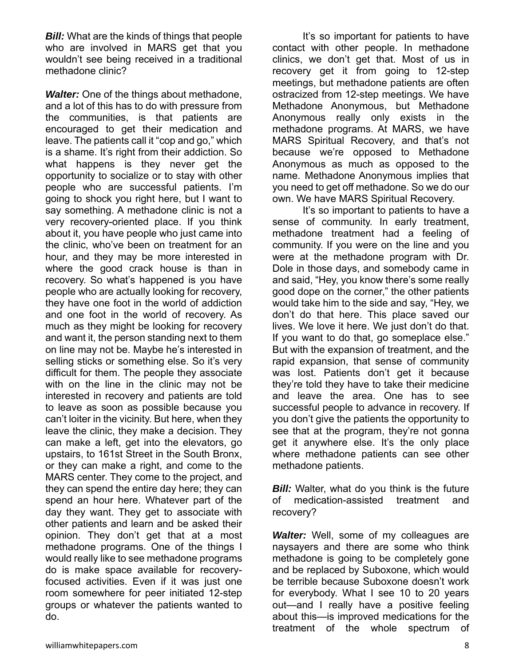*Bill:* What are the kinds of things that people who are involved in MARS get that you wouldn't see being received in a traditional methadone clinic?

*Walter:* One of the things about methadone, and a lot of this has to do with pressure from the communities, is that patients are encouraged to get their medication and leave. The patients call it "cop and go," which is a shame. It's right from their addiction. So what happens is they never get the opportunity to socialize or to stay with other people who are successful patients. I'm going to shock you right here, but I want to say something. A methadone clinic is not a very recovery-oriented place. If you think about it, you have people who just came into the clinic, who've been on treatment for an hour, and they may be more interested in where the good crack house is than in recovery. So what's happened is you have people who are actually looking for recovery, they have one foot in the world of addiction and one foot in the world of recovery. As much as they might be looking for recovery and want it, the person standing next to them on line may not be. Maybe he's interested in selling sticks or something else. So it's very difficult for them. The people they associate with on the line in the clinic may not be interested in recovery and patients are told to leave as soon as possible because you can't loiter in the vicinity. But here, when they leave the clinic, they make a decision. They can make a left, get into the elevators, go upstairs, to 161st Street in the South Bronx, or they can make a right, and come to the MARS center. They come to the project, and they can spend the entire day here; they can spend an hour here. Whatever part of the day they want. They get to associate with other patients and learn and be asked their opinion. They don't get that at a most methadone programs. One of the things I would really like to see methadone programs do is make space available for recoveryfocused activities. Even if it was just one room somewhere for peer initiated 12-step groups or whatever the patients wanted to do.

 It's so important for patients to have contact with other people. In methadone clinics, we don't get that. Most of us in recovery get it from going to 12-step meetings, but methadone patients are often ostracized from 12-step meetings. We have Methadone Anonymous, but Methadone Anonymous really only exists in the methadone programs. At MARS, we have MARS Spiritual Recovery, and that's not because we're opposed to Methadone Anonymous as much as opposed to the name. Methadone Anonymous implies that you need to get off methadone. So we do our own. We have MARS Spiritual Recovery.

 It's so important to patients to have a sense of community. In early treatment, methadone treatment had a feeling of community. If you were on the line and you were at the methadone program with Dr. Dole in those days, and somebody came in and said, "Hey, you know there's some really good dope on the corner," the other patients would take him to the side and say, "Hey, we don't do that here. This place saved our lives. We love it here. We just don't do that. If you want to do that, go someplace else." But with the expansion of treatment, and the rapid expansion, that sense of community was lost. Patients don't get it because they're told they have to take their medicine and leave the area. One has to see successful people to advance in recovery. If you don't give the patients the opportunity to see that at the program, they're not gonna get it anywhere else. It's the only place where methadone patients can see other methadone patients.

*Bill:* Walter, what do you think is the future of medication-assisted treatment and recovery?

*Walter:* Well, some of my colleagues are naysayers and there are some who think methadone is going to be completely gone and be replaced by Suboxone, which would be terrible because Suboxone doesn't work for everybody. What I see 10 to 20 years out—and I really have a positive feeling about this—is improved medications for the treatment of the whole spectrum of